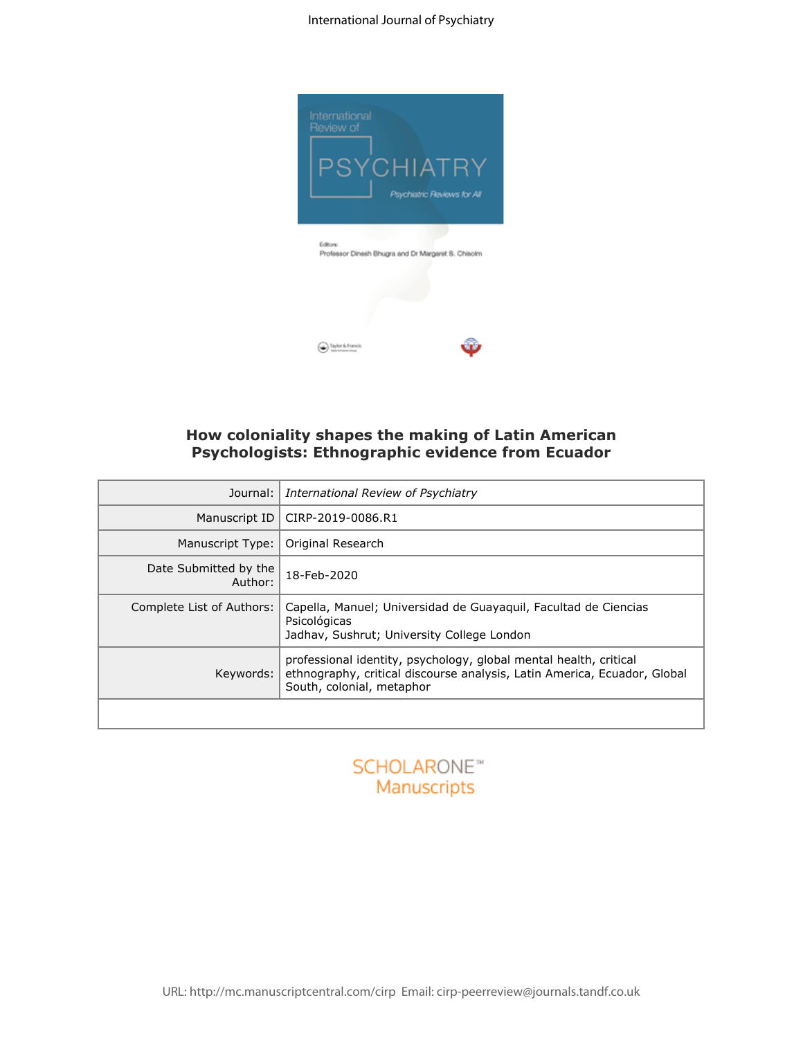#### International Journal of Psychiatry



# **How coloniality shapes the making of Latin American Psychologists: Ethnographic evidence from Ecuador**

|                                  | Taylor & Francis<br>How coloniality shapes the making of Latin American<br>Psychologists: Ethnographic evidence from Ecuador                                               |
|----------------------------------|----------------------------------------------------------------------------------------------------------------------------------------------------------------------------|
| Journal:                         | International Review of Psychiatry                                                                                                                                         |
| Manuscript ID                    | CIRP-2019-0086.R1                                                                                                                                                          |
| Manuscript Type:                 | Original Research                                                                                                                                                          |
| Date Submitted by the<br>Author: | 18-Feb-2020                                                                                                                                                                |
| Complete List of Authors:        | Capella, Manuel; Universidad de Guayaquil, Facultad de Ciencias<br>Psicológicas<br>Jadhav, Sushrut; University College London                                              |
| Keywords:                        | professional identity, psychology, global mental health, critical<br>ethnography, critical discourse analysis, Latin America, Ecuador, Global<br>South, colonial, metaphor |
|                                  |                                                                                                                                                                            |

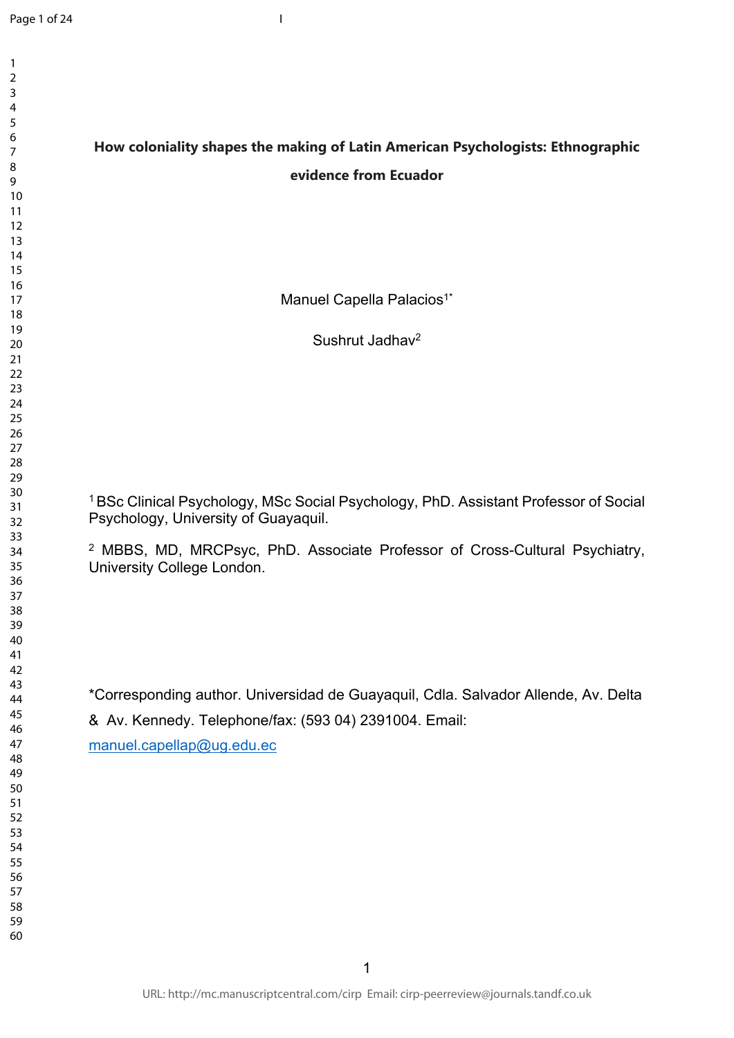# **How coloniality shapes the making of Latin American Psychologists: Ethnographic evidence from Ecuador**

I

Manuel Capella Palacios<sup>1\*</sup>

Sushrut Jadhav<sup>2</sup>

BSc Clinical Psychology, MSc Social Psychology, PhD. Assistant Professor of Social Psychology, University of Guayaquil.

 MBBS, MD, MRCPsyc, PhD. Associate Professor of Cross-Cultural Psychiatry, University College London.

\*Corresponding author. Universidad de Guayaquil, Cdla. Salvador Allende, Av. Delta & Av. Kennedy. Telephone/fax: (593 04) 2391004. Email:

[manuel.capellap@ug.edu.ec](mailto:manuel.capellap@ug.edu.ec)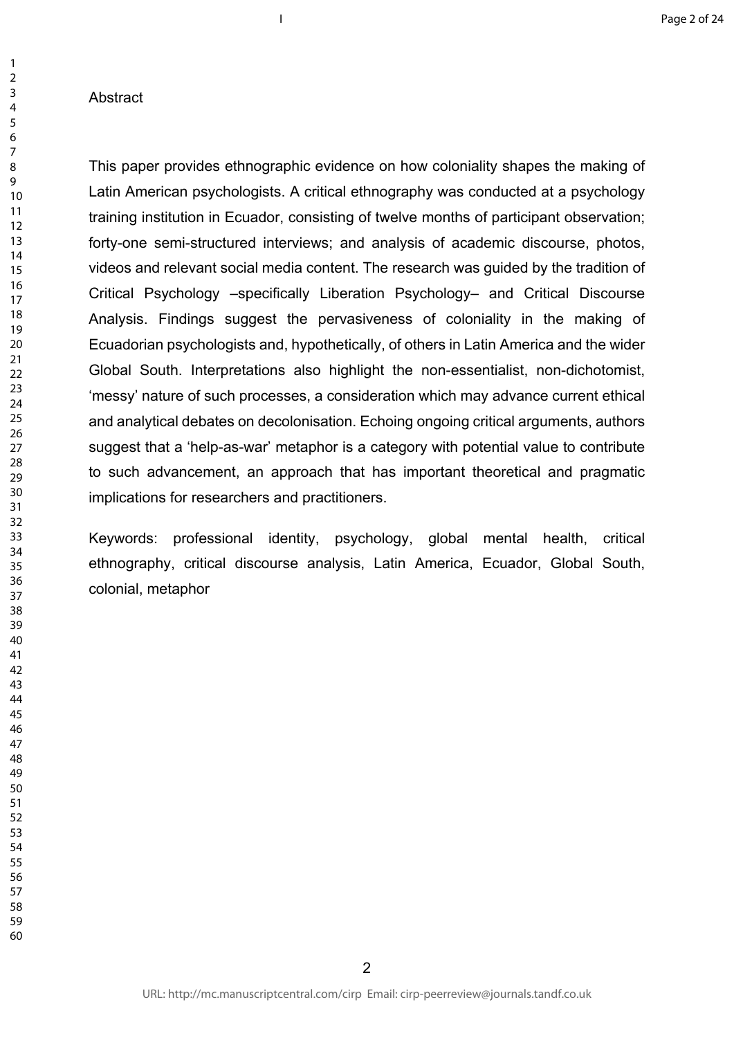### Abstract

This paper provides ethnographic evidence on how coloniality shapes the making of Latin American psychologists. A critical ethnography was conducted at a psychology training institution in Ecuador, consisting of twelve months of participant observation; forty-one semi-structured interviews; and analysis of academic discourse, photos, videos and relevant social media content. The research was guided by the tradition of Critical Psychology –specifically Liberation Psychology– and Critical Discourse Analysis. Findings suggest the pervasiveness of coloniality in the making of Ecuadorian psychologists and, hypothetically, of others in Latin America and the wider Global South. Interpretations also highlight the non-essentialist, non-dichotomist, 'messy' nature of such processes, a consideration which may advance current ethical and analytical debates on decolonisation. Echoing ongoing critical arguments, authors suggest that a 'help-as-war' metaphor is a category with potential value to contribute to such advancement, an approach that has important theoretical and pragmatic implications for researchers and practitioners.

I

Keywords: professional identity, psychology, global mental health, critical ethnography, critical discourse analysis, Latin America, Ecuador, Global South, colonial, metaphor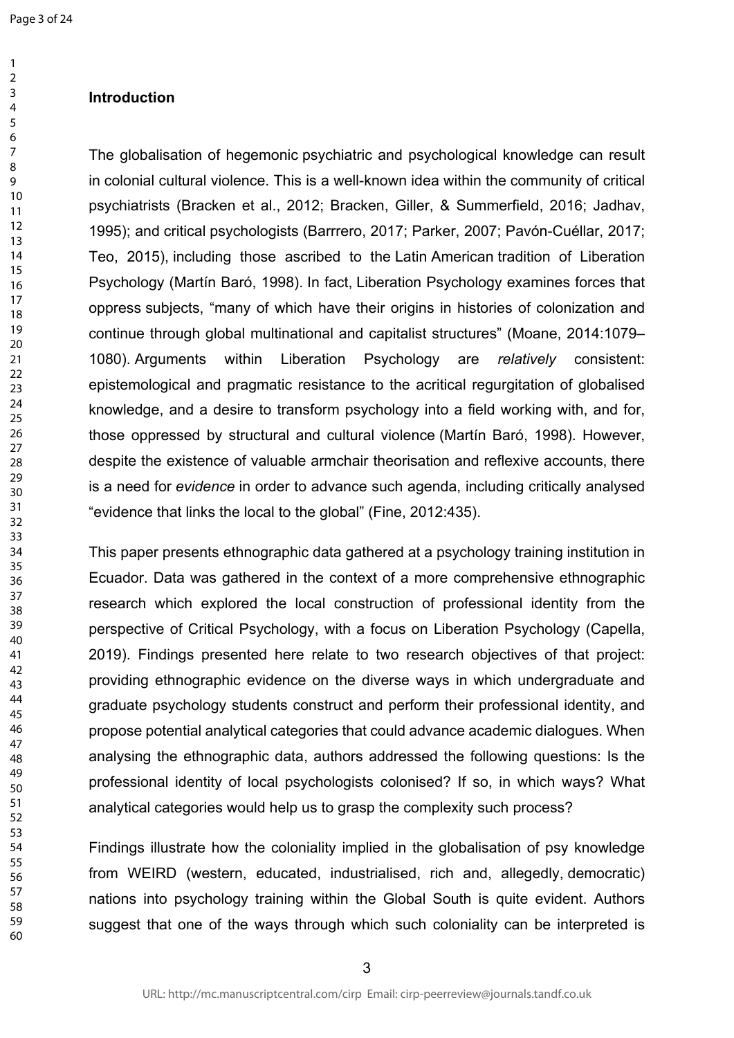## **Introduction**

The globalisation of hegemonic psychiatric and psychological knowledge can result in colonial cultural violence. This is a well-known idea within the community of critical psychiatrists (Bracken et al., 2012; Bracken, Giller, & Summerfield, 2016; Jadhav, 1995); and critical psychologists (Barrrero, 2017; Parker, 2007; Pavón-Cuéllar, 2017; Teo, 2015), including those ascribed to the Latin American tradition of Liberation Psychology (Martín Baró, 1998). In fact, Liberation Psychology examines forces that oppress subjects, "many of which have their origins in histories of colonization and continue through global multinational and capitalist structures" (Moane, 2014:1079– 1080). Arguments within Liberation Psychology are *relatively* consistent: epistemological and pragmatic resistance to the acritical regurgitation of globalised knowledge, and a desire to transform psychology into a field working with, and for, those oppressed by structural and cultural violence (Martín Baró, 1998). However, despite the existence of valuable armchair theorisation and reflexive accounts, there is a need for *evidence* in order to advance such agenda, including critically analysed "evidence that links the local to the global" (Fine, 2012:435).

This paper presents ethnographic data gathered at a psychology training institution in Ecuador. Data was gathered in the context of a more comprehensive ethnographic research which explored the local construction of professional identity from the perspective of Critical Psychology, with a focus on Liberation Psychology (Capella, 2019). Findings presented here relate to two research objectives of that project: providing ethnographic evidence on the diverse ways in which undergraduate and graduate psychology students construct and perform their professional identity, and propose potential analytical categories that could advance academic dialogues. When analysing the ethnographic data, authors addressed the following questions: Is the professional identity of local psychologists colonised? If so, in which ways? What analytical categories would help us to grasp the complexity such process?

Findings illustrate how the coloniality implied in the globalisation of psy knowledge from WEIRD (western, educated, industrialised, rich and, allegedly, democratic) nations into psychology training within the Global South is quite evident. Authors suggest that one of the ways through which such coloniality can be interpreted is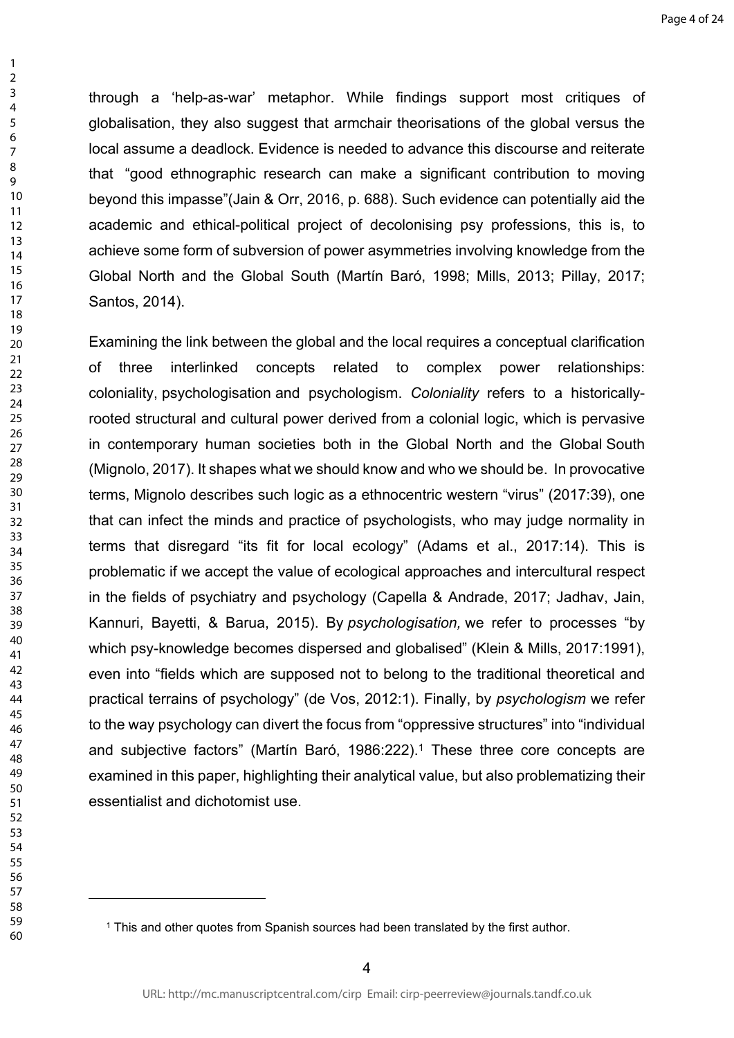through a 'help-as-war' metaphor. While findings support most critiques of globalisation, they also suggest that armchair theorisations of the global versus the local assume a deadlock. Evidence is needed to advance this discourse and reiterate that "good ethnographic research can make a significant contribution to moving beyond this impasse"(Jain & Orr, 2016, p. 688). Such evidence can potentially aid the academic and ethical-political project of decolonising psy professions, this is, to achieve some form of subversion of power asymmetries involving knowledge from the Global North and the Global South (Martín Baró, 1998; Mills, 2013; Pillay, 2017; Santos, 2014).

Examining the link between the global and the local requires a conceptual clarification of three interlinked concepts related to complex power relationships: coloniality, psychologisation and psychologism. *Coloniality* refers to a historicallyrooted structural and cultural power derived from a colonial logic, which is pervasive in contemporary human societies both in the Global North and the Global South (Mignolo, 2017). It shapes what we should know and who we should be. In provocative terms, Mignolo describes such logic as a ethnocentric western "virus" (2017:39), one that can infect the minds and practice of psychologists, who may judge normality in terms that disregard "its fit for local ecology" (Adams et al., 2017:14). This is problematic if we accept the value of ecological approaches and intercultural respect in the fields of psychiatry and psychology (Capella & Andrade, 2017; Jadhav, Jain, Kannuri, Bayetti, & Barua, 2015). By *psychologisation,* we refer to processes "by which psy-knowledge becomes dispersed and globalised" (Klein & Mills, 2017:1991), even into "fields which are supposed not to belong to the traditional theoretical and practical terrains of psychology" (de Vos, 2012:1). Finally, by *psychologism* we refer to the way psychology can divert the focus from "oppressive structures" into "individual and subjective factors" (Martín Baró, 1986:222).<sup>1</sup> These three core concepts are examined in this paper, highlighting their analytical value, but also problematizing their essentialist and dichotomist use.

This and other quotes from Spanish sources had been translated by the first author.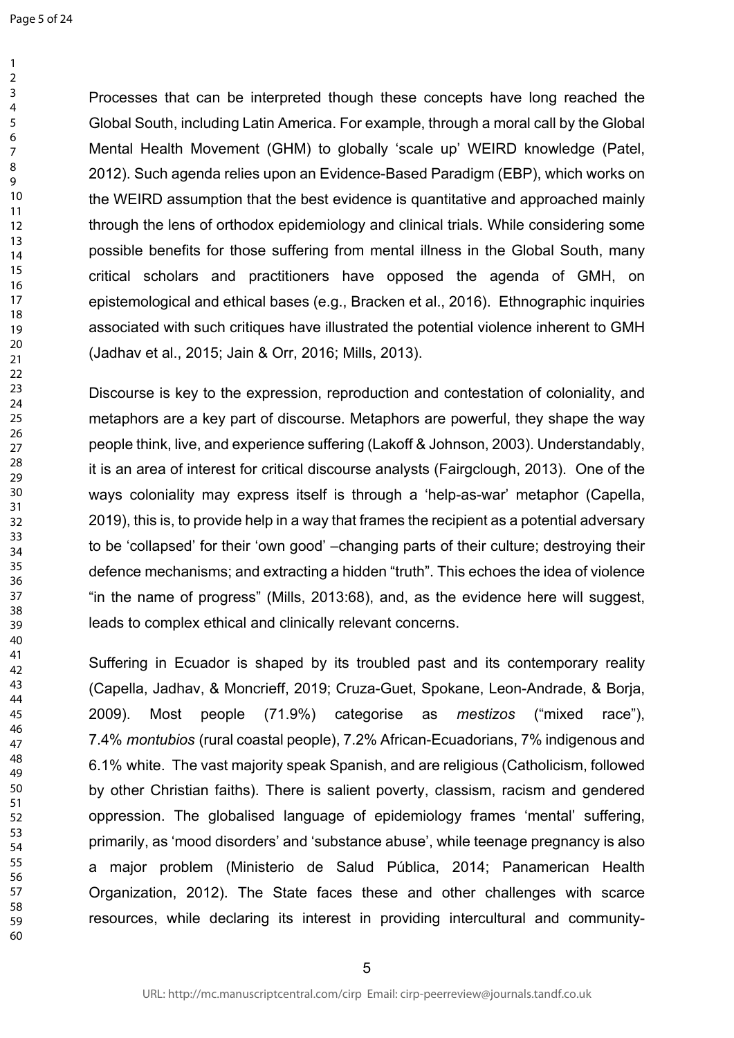Processes that can be interpreted though these concepts have long reached the Global South, including Latin America. For example, through a moral call by the Global Mental Health Movement (GHM) to globally 'scale up' WEIRD knowledge (Patel, 2012). Such agenda relies upon an Evidence-Based Paradigm (EBP), which works on the WEIRD assumption that the best evidence is quantitative and approached mainly through the lens of orthodox epidemiology and clinical trials. While considering some possible benefits for those suffering from mental illness in the Global South, many critical scholars and practitioners have opposed the agenda of GMH, on epistemological and ethical bases (e.g., Bracken et al., 2016). Ethnographic inquiries associated with such critiques have illustrated the potential violence inherent to GMH (Jadhav et al., 2015; Jain & Orr, 2016; Mills, 2013).

Discourse is key to the expression, reproduction and contestation of coloniality, and metaphors are a key part of discourse. Metaphors are powerful, they shape the way people think, live, and experience suffering (Lakoff & Johnson, 2003). Understandably, it is an area of interest for critical discourse analysts (Fairgclough, 2013). One of the ways coloniality may express itself is through a 'help-as-war' metaphor (Capella, 2019), this is, to provide help in a way that frames the recipient as a potential adversary to be 'collapsed' for their 'own good' –changing parts of their culture; destroying their defence mechanisms; and extracting a hidden "truth". This echoes the idea of violence "in the name of progress" (Mills, 2013:68), and, as the evidence here will suggest, leads to complex ethical and clinically relevant concerns.

Suffering in Ecuador is shaped by its troubled past and its contemporary reality (Capella, Jadhav, & Moncrieff, 2019; Cruza-Guet, Spokane, Leon-Andrade, & Borja, 2009). Most people (71.9%) categorise as *mestizos* ("mixed race"), 7.4% *montubios* (rural coastal people), 7.2% African-Ecuadorians, 7% indigenous and 6.1% white. The vast majority speak Spanish, and are religious (Catholicism, followed by other Christian faiths). There is salient poverty, classism, racism and gendered oppression. The globalised language of epidemiology frames 'mental' suffering, primarily, as 'mood disorders' and 'substance abuse', while teenage pregnancy is also a major problem (Ministerio de Salud Pública, 2014; Panamerican Health Organization, 2012). The State faces these and other challenges with scarce resources, while declaring its interest in providing intercultural and community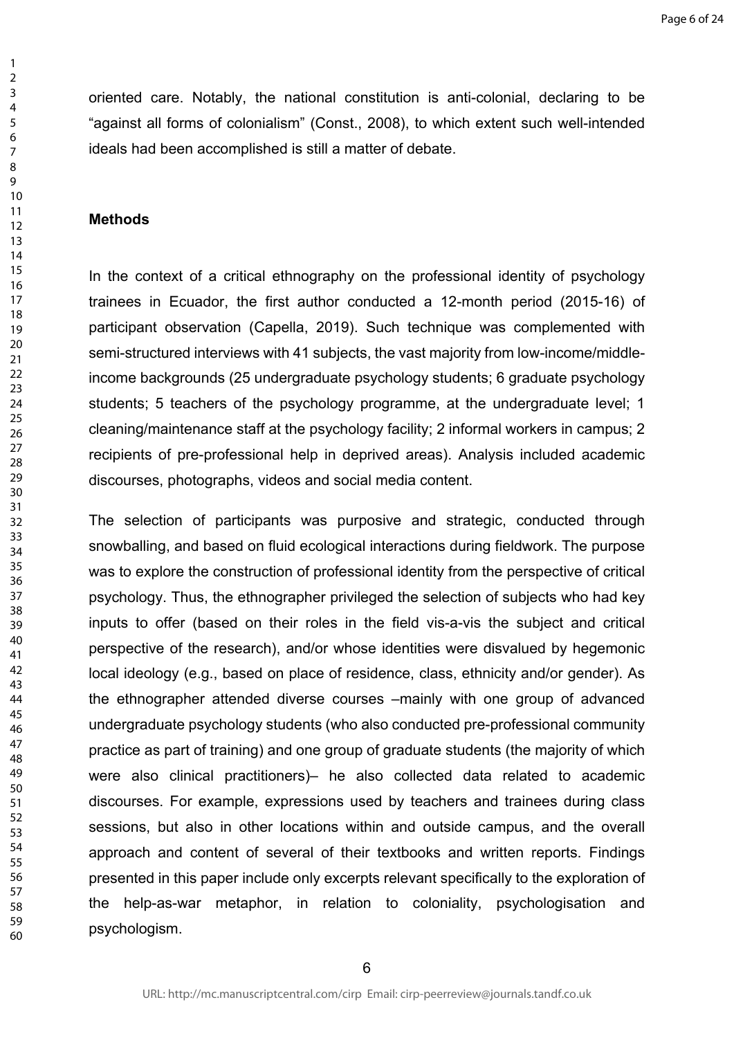oriented care. Notably, the national constitution is anti-colonial, declaring to be "against all forms of colonialism" (Const., 2008), to which extent such well-intended ideals had been accomplished is still a matter of debate.

#### **Methods**

In the context of a critical ethnography on the professional identity of psychology trainees in Ecuador, the first author conducted a 12-month period (2015-16) of participant observation (Capella, 2019). Such technique was complemented with semi-structured interviews with 41 subjects, the vast majority from low-income/middleincome backgrounds (25 undergraduate psychology students; 6 graduate psychology students; 5 teachers of the psychology programme, at the undergraduate level; 1 cleaning/maintenance staff at the psychology facility; 2 informal workers in campus; 2 recipients of pre-professional help in deprived areas). Analysis included academic discourses, photographs, videos and social media content.

The selection of participants was purposive and strategic, conducted through snowballing, and based on fluid ecological interactions during fieldwork. The purpose was to explore the construction of professional identity from the perspective of critical psychology. Thus, the ethnographer privileged the selection of subjects who had key inputs to offer (based on their roles in the field vis-a-vis the subject and critical perspective of the research), and/or whose identities were disvalued by hegemonic local ideology (e.g., based on place of residence, class, ethnicity and/or gender). As the ethnographer attended diverse courses –mainly with one group of advanced undergraduate psychology students (who also conducted pre-professional community practice as part of training) and one group of graduate students (the majority of which were also clinical practitioners)– he also collected data related to academic discourses. For example, expressions used by teachers and trainees during class sessions, but also in other locations within and outside campus, and the overall approach and content of several of their textbooks and written reports. Findings presented in this paper include only excerpts relevant specifically to the exploration of the help-as-war metaphor, in relation to coloniality, psychologisation and psychologism.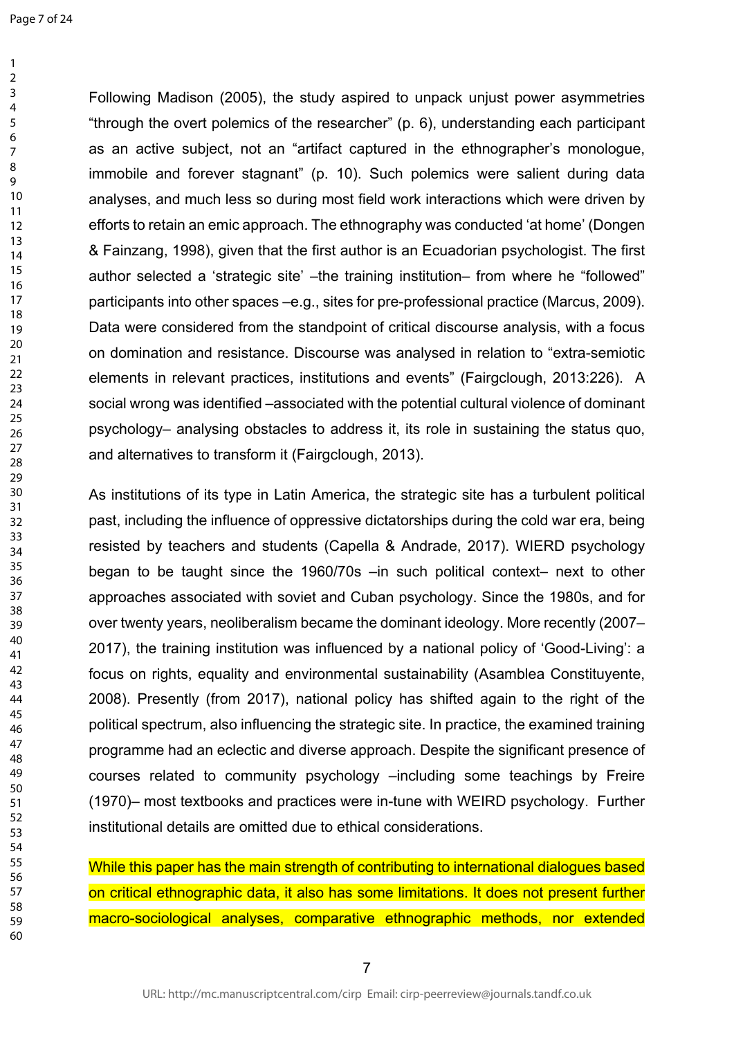Following Madison (2005), the study aspired to unpack unjust power asymmetries "through the overt polemics of the researcher" (p. 6), understanding each participant as an active subject, not an "artifact captured in the ethnographer's monologue, immobile and forever stagnant" (p. 10). Such polemics were salient during data analyses, and much less so during most field work interactions which were driven by efforts to retain an emic approach. The ethnography was conducted 'at home' (Dongen & Fainzang, 1998), given that the first author is an Ecuadorian psychologist. The first author selected a 'strategic site' –the training institution– from where he "followed" participants into other spaces –e.g., sites for pre-professional practice (Marcus, 2009). Data were considered from the standpoint of critical discourse analysis, with a focus on domination and resistance. Discourse was analysed in relation to "extra-semiotic elements in relevant practices, institutions and events" (Fairgclough, 2013:226). A social wrong was identified –associated with the potential cultural violence of dominant psychology– analysing obstacles to address it, its role in sustaining the status quo, and alternatives to transform it (Fairgclough, 2013).

As institutions of its type in Latin America, the strategic site has a turbulent political past, including the influence of oppressive dictatorships during the cold war era, being resisted by teachers and students (Capella & Andrade, 2017). WIERD psychology began to be taught since the 1960/70s –in such political context– next to other approaches associated with soviet and Cuban psychology. Since the 1980s, and for over twenty years, neoliberalism became the dominant ideology. More recently (2007– 2017), the training institution was influenced by a national policy of 'Good-Living': a focus on rights, equality and environmental sustainability (Asamblea Constituyente, 2008). Presently (from 2017), national policy has shifted again to the right of the political spectrum, also influencing the strategic site. In practice, the examined training programme had an eclectic and diverse approach. Despite the significant presence of courses related to community psychology –including some teachings by Freire (1970)– most textbooks and practices were in-tune with WEIRD psychology. Further institutional details are omitted due to ethical considerations.

While this paper has the main strength of contributing to international dialogues based on critical ethnographic data, it also has some limitations. It does not present further macro-sociological analyses, comparative ethnographic methods, nor extended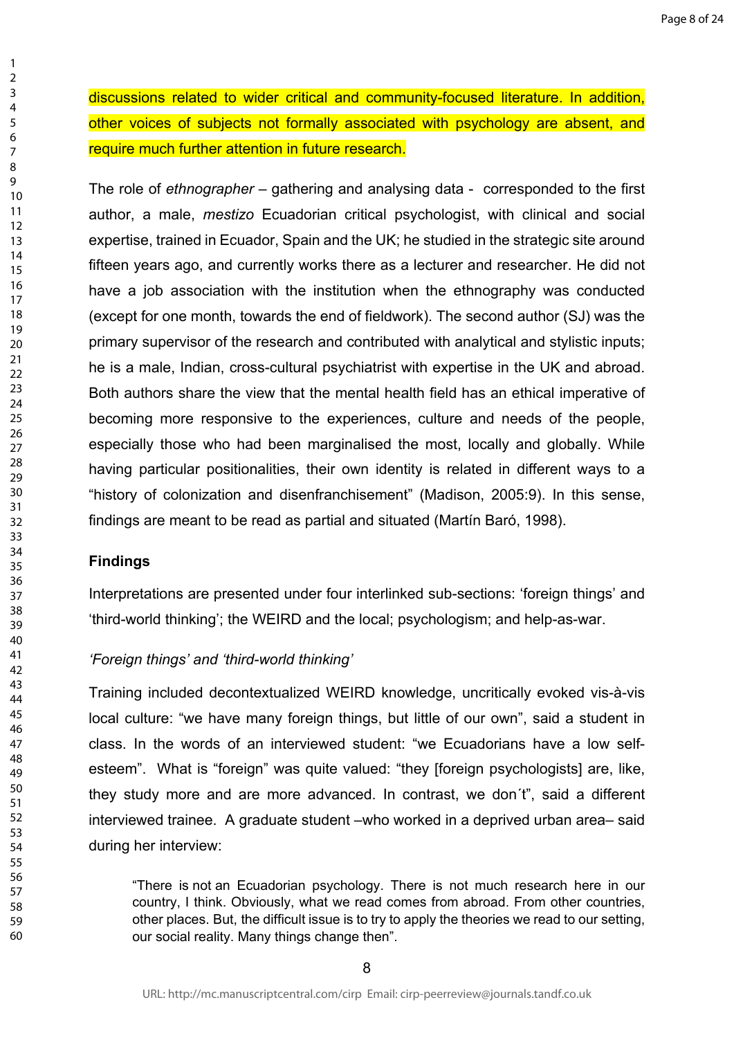discussions related to wider critical and community-focused literature. In addition, other voices of subjects not formally associated with psychology are absent, and require much further attention in future research.

The role of *ethnographer* – gathering and analysing data - corresponded to the first author, a male, *mestizo* Ecuadorian critical psychologist, with clinical and social expertise, trained in Ecuador, Spain and the UK; he studied in the strategic site around fifteen years ago, and currently works there as a lecturer and researcher. He did not have a job association with the institution when the ethnography was conducted (except for one month, towards the end of fieldwork). The second author (SJ) was the primary supervisor of the research and contributed with analytical and stylistic inputs; he is a male, Indian, cross-cultural psychiatrist with expertise in the UK and abroad. Both authors share the view that the mental health field has an ethical imperative of becoming more responsive to the experiences, culture and needs of the people, especially those who had been marginalised the most, locally and globally. While having particular positionalities, their own identity is related in different ways to a "history of colonization and disenfranchisement" (Madison, 2005:9). In this sense, findings are meant to be read as partial and situated (Martín Baró, 1998).

### **Findings**

Interpretations are presented under four interlinked sub-sections: 'foreign things' and 'third-world thinking'; the WEIRD and the local; psychologism; and help-as-war.

### *'Foreign things' and 'third-world thinking'*

Training included decontextualized WEIRD knowledge, uncritically evoked vis-à-vis local culture: "we have many foreign things, but little of our own", said a student in class. In the words of an interviewed student: "we Ecuadorians have a low selfesteem". What is "foreign" was quite valued: "they [foreign psychologists] are, like, they study more and are more advanced. In contrast, we don´t", said a different interviewed trainee. A graduate student –who worked in a deprived urban area– said during her interview:

"There is not an Ecuadorian psychology. There is not much research here in our country, I think. Obviously, what we read comes from abroad. From other countries, other places. But, the difficult issue is to try to apply the theories we read to our setting, our social reality. Many things change then".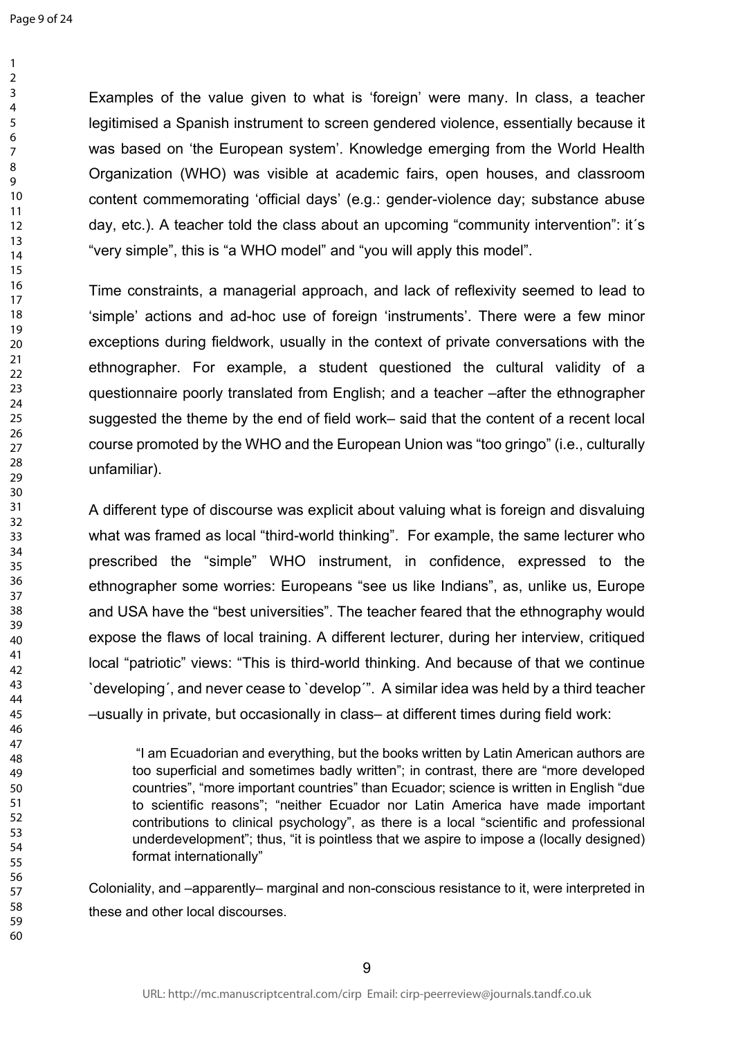Examples of the value given to what is 'foreign' were many. In class, a teacher legitimised a Spanish instrument to screen gendered violence, essentially because it was based on 'the European system'. Knowledge emerging from the World Health Organization (WHO) was visible at academic fairs, open houses, and classroom content commemorating 'official days' (e.g.: gender-violence day; substance abuse day, etc.). A teacher told the class about an upcoming "community intervention": it´s "very simple", this is "a WHO model" and "you will apply this model".

Time constraints, a managerial approach, and lack of reflexivity seemed to lead to 'simple' actions and ad-hoc use of foreign 'instruments'. There were a few minor exceptions during fieldwork, usually in the context of private conversations with the ethnographer. For example, a student questioned the cultural validity of a questionnaire poorly translated from English; and a teacher –after the ethnographer suggested the theme by the end of field work– said that the content of a recent local course promoted by the WHO and the European Union was "too gringo" (i.e., culturally unfamiliar).

A different type of discourse was explicit about valuing what is foreign and disvaluing what was framed as local "third-world thinking". For example, the same lecturer who prescribed the "simple" WHO instrument, in confidence, expressed to the ethnographer some worries: Europeans "see us like Indians", as, unlike us, Europe and USA have the "best universities". The teacher feared that the ethnography would expose the flaws of local training. A different lecturer, during her interview, critiqued local "patriotic" views: "This is third-world thinking. And because of that we continue `developing´, and never cease to `develop´". A similar idea was held by a third teacher –usually in private, but occasionally in class– at different times during field work:

 "I am Ecuadorian and everything, but the books written by Latin American authors are too superficial and sometimes badly written"; in contrast, there are "more developed countries", "more important countries" than Ecuador; science is written in English "due to scientific reasons"; "neither Ecuador nor Latin America have made important contributions to clinical psychology", as there is a local "scientific and professional underdevelopment"; thus, "it is pointless that we aspire to impose a (locally designed) format internationally"

Coloniality, and –apparently– marginal and non-conscious resistance to it, were interpreted in these and other local discourses.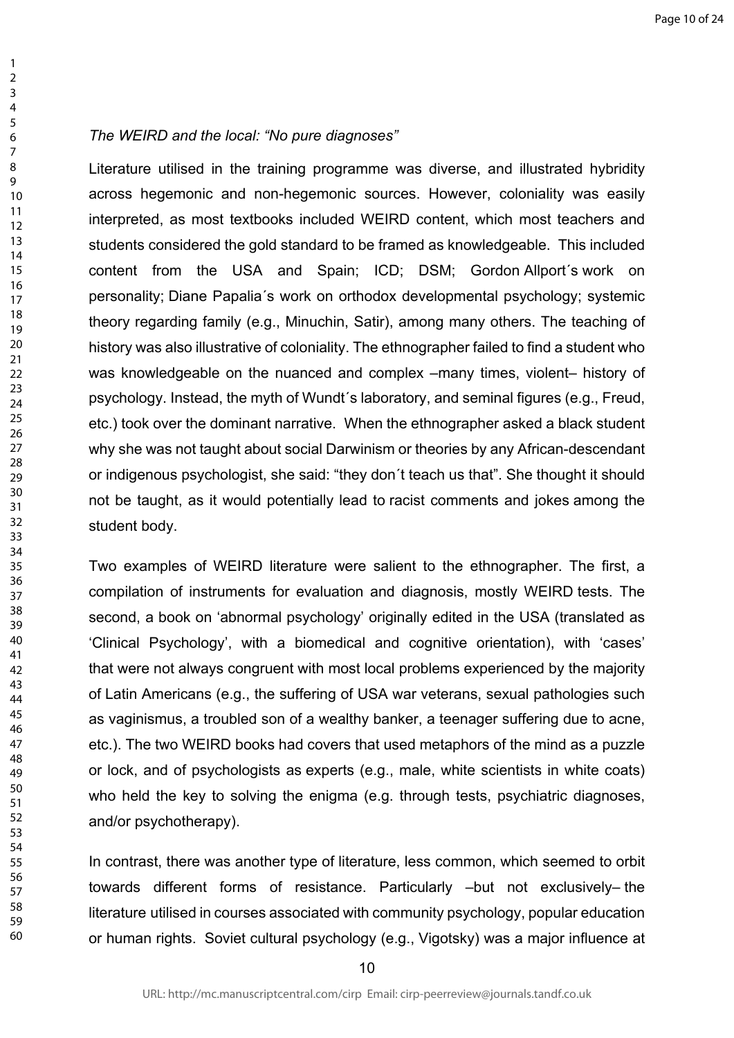### *The WEIRD and the local: "No pure diagnoses"*

Literature utilised in the training programme was diverse, and illustrated hybridity across hegemonic and non-hegemonic sources. However, coloniality was easily interpreted, as most textbooks included WEIRD content, which most teachers and students considered the gold standard to be framed as knowledgeable. This included content from the USA and Spain; ICD; DSM; Gordon Allport´s work on personality; Diane Papalia´s work on orthodox developmental psychology; systemic theory regarding family (e.g., Minuchin, Satir), among many others. The teaching of history was also illustrative of coloniality. The ethnographer failed to find a student who was knowledgeable on the nuanced and complex –many times, violent– history of psychology. Instead, the myth of Wundt´s laboratory, and seminal figures (e.g., Freud, etc.) took over the dominant narrative. When the ethnographer asked a black student why she was not taught about social Darwinism or theories by any African-descendant or indigenous psychologist, she said: "they don´t teach us that". She thought it should not be taught, as it would potentially lead to racist comments and jokes among the student body.

Two examples of WEIRD literature were salient to the ethnographer. The first, a compilation of instruments for evaluation and diagnosis, mostly WEIRD tests. The second, a book on 'abnormal psychology' originally edited in the USA (translated as 'Clinical Psychology', with a biomedical and cognitive orientation), with 'cases' that were not always congruent with most local problems experienced by the majority of Latin Americans (e.g., the suffering of USA war veterans, sexual pathologies such as vaginismus, a troubled son of a wealthy banker, a teenager suffering due to acne, etc.). The two WEIRD books had covers that used metaphors of the mind as a puzzle or lock, and of psychologists as experts (e.g., male, white scientists in white coats) who held the key to solving the enigma (e.g. through tests, psychiatric diagnoses, and/or psychotherapy).

In contrast, there was another type of literature, less common, which seemed to orbit towards different forms of resistance. Particularly –but not exclusively– the literature utilised in courses associated with community psychology, popular education or human rights. Soviet cultural psychology (e.g., Vigotsky) was a major influence at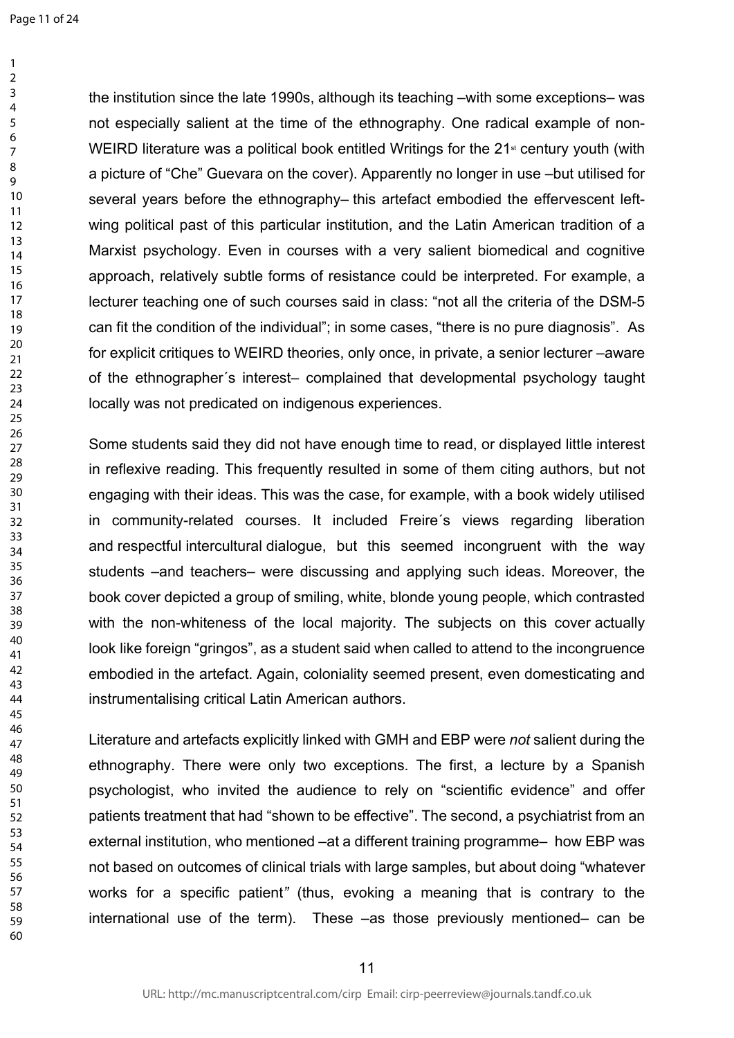the institution since the late 1990s, although its teaching –with some exceptions– was not especially salient at the time of the ethnography. One radical example of non-WEIRD literature was a political book entitled Writings for the  $21<sup>st</sup>$  century youth (with a picture of "Che" Guevara on the cover). Apparently no longer in use –but utilised for several years before the ethnography– this artefact embodied the effervescent leftwing political past of this particular institution, and the Latin American tradition of a Marxist psychology. Even in courses with a very salient biomedical and cognitive approach, relatively subtle forms of resistance could be interpreted. For example, a lecturer teaching one of such courses said in class: "not all the criteria of the DSM-5 can fit the condition of the individual"; in some cases, "there is no pure diagnosis". As for explicit critiques to WEIRD theories, only once, in private, a senior lecturer –aware of the ethnographer´s interest– complained that developmental psychology taught locally was not predicated on indigenous experiences.

Some students said they did not have enough time to read, or displayed little interest in reflexive reading. This frequently resulted in some of them citing authors, but not engaging with their ideas. This was the case, for example, with a book widely utilised in community-related courses. It included Freire´s views regarding liberation and respectful intercultural dialogue, but this seemed incongruent with the way students –and teachers– were discussing and applying such ideas. Moreover, the book cover depicted a group of smiling, white, blonde young people, which contrasted with the non-whiteness of the local majority. The subjects on this cover actually look like foreign "gringos", as a student said when called to attend to the incongruence embodied in the artefact. Again, coloniality seemed present, even domesticating and instrumentalising critical Latin American authors.

Literature and artefacts explicitly linked with GMH and EBP were *not* salient during the ethnography. There were only two exceptions. The first, a lecture by a Spanish psychologist, who invited the audience to rely on "scientific evidence" and offer patients treatment that had "shown to be effective". The second, a psychiatrist from an external institution, who mentioned –at a different training programme– how EBP was not based on outcomes of clinical trials with large samples, but about doing "whatever works for a specific patient*"* (thus, evoking a meaning that is contrary to the international use of the term). These –as those previously mentioned– can be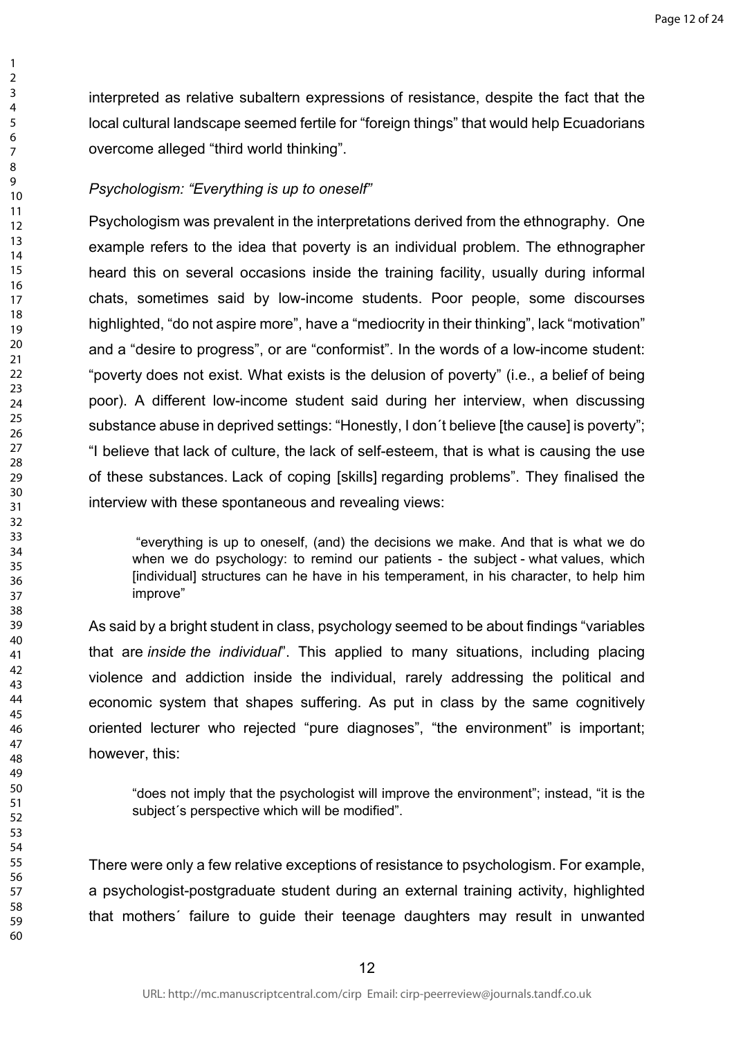interpreted as relative subaltern expressions of resistance, despite the fact that the local cultural landscape seemed fertile for "foreign things" that would help Ecuadorians overcome alleged "third world thinking".

# *Psychologism: "Everything is up to oneself"*

Psychologism was prevalent in the interpretations derived from the ethnography. One example refers to the idea that poverty is an individual problem. The ethnographer heard this on several occasions inside the training facility, usually during informal chats, sometimes said by low-income students. Poor people, some discourses highlighted, "do not aspire more", have a "mediocrity in their thinking", lack "motivation" and a "desire to progress", or are "conformist". In the words of a low-income student: "poverty does not exist. What exists is the delusion of poverty" (i.e., a belief of being poor). A different low-income student said during her interview, when discussing substance abuse in deprived settings: "Honestly, I don´t believe [the cause] is poverty"; "I believe that lack of culture, the lack of self-esteem, that is what is causing the use of these substances. Lack of coping [skills] regarding problems". They finalised the interview with these spontaneous and revealing views:

 "everything is up to oneself, (and) the decisions we make. And that is what we do when we do psychology: to remind our patients - the subject - what values, which [individual] structures can he have in his temperament, in his character, to help him improve"

As said by a bright student in class, psychology seemed to be about findings "variables that are *inside the individual*". This applied to many situations, including placing violence and addiction inside the individual, rarely addressing the political and economic system that shapes suffering. As put in class by the same cognitively oriented lecturer who rejected "pure diagnoses", "the environment" is important; however, this:

"does not imply that the psychologist will improve the environment"; instead, "it is the subject´s perspective which will be modified".

There were only a few relative exceptions of resistance to psychologism. For example, a psychologist-postgraduate student during an external training activity, highlighted that mothers´ failure to guide their teenage daughters may result in unwanted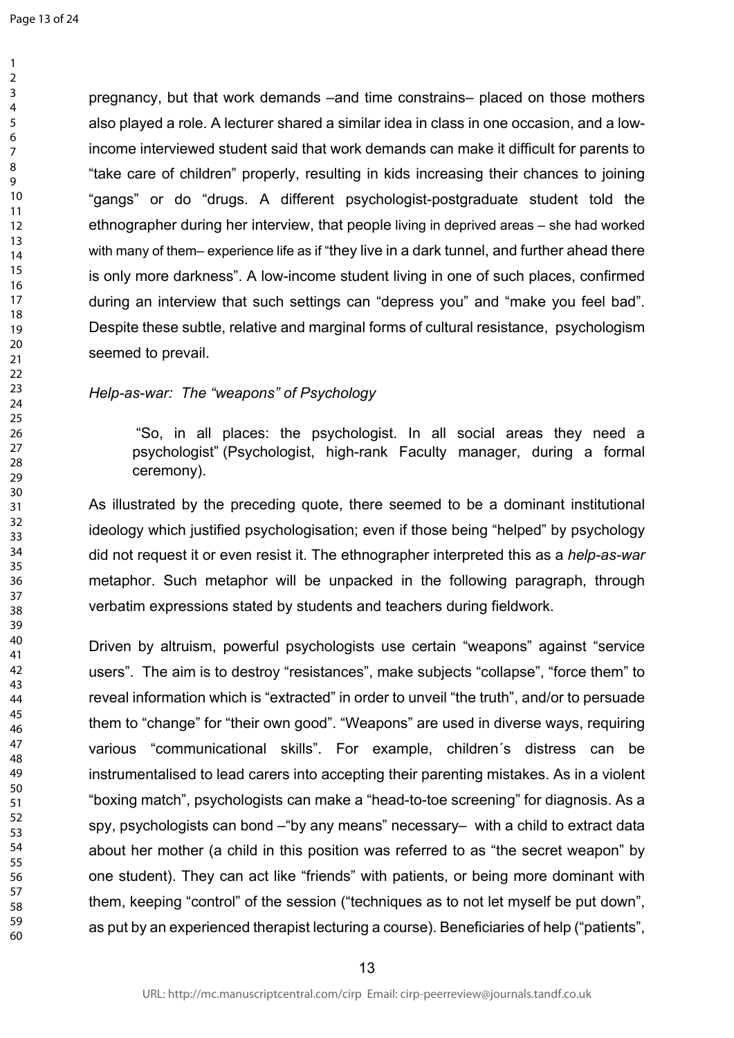pregnancy, but that work demands –and time constrains– placed on those mothers also played a role. A lecturer shared a similar idea in class in one occasion, and a lowincome interviewed student said that work demands can make it difficult for parents to "take care of children" properly, resulting in kids increasing their chances to joining "gangs" or do "drugs. A different psychologist-postgraduate student told the ethnographer during her interview, that people living in deprived areas – she had worked with many of them– experience life as if "they live in a dark tunnel, and further ahead there is only more darkness". A low-income student living in one of such places, confirmed during an interview that such settings can "depress you" and "make you feel bad". Despite these subtle, relative and marginal forms of cultural resistance, psychologism seemed to prevail.

### *Help-as-war: The "weapons" of Psychology*

"So, in all places: the psychologist. In all social areas they need a psychologist" (Psychologist, high-rank Faculty manager, during a formal ceremony).

As illustrated by the preceding quote, there seemed to be a dominant institutional ideology which justified psychologisation; even if those being "helped" by psychology did not request it or even resist it. The ethnographer interpreted this as a *help-as-war*  metaphor. Such metaphor will be unpacked in the following paragraph, through verbatim expressions stated by students and teachers during fieldwork.

Driven by altruism, powerful psychologists use certain "weapons" against "service users". The aim is to destroy "resistances", make subjects "collapse", "force them" to reveal information which is "extracted" in order to unveil "the truth", and/or to persuade them to "change" for "their own good". "Weapons" are used in diverse ways, requiring various "communicational skills". For example, children´s distress can be instrumentalised to lead carers into accepting their parenting mistakes. As in a violent "boxing match", psychologists can make a "head-to-toe screening" for diagnosis. As a spy, psychologists can bond –"by any means" necessary– with a child to extract data about her mother (a child in this position was referred to as "the secret weapon" by one student). They can act like "friends" with patients, or being more dominant with them, keeping "control" of the session ("techniques as to not let myself be put down", as put by an experienced therapist lecturing a course). Beneficiaries of help ("patients",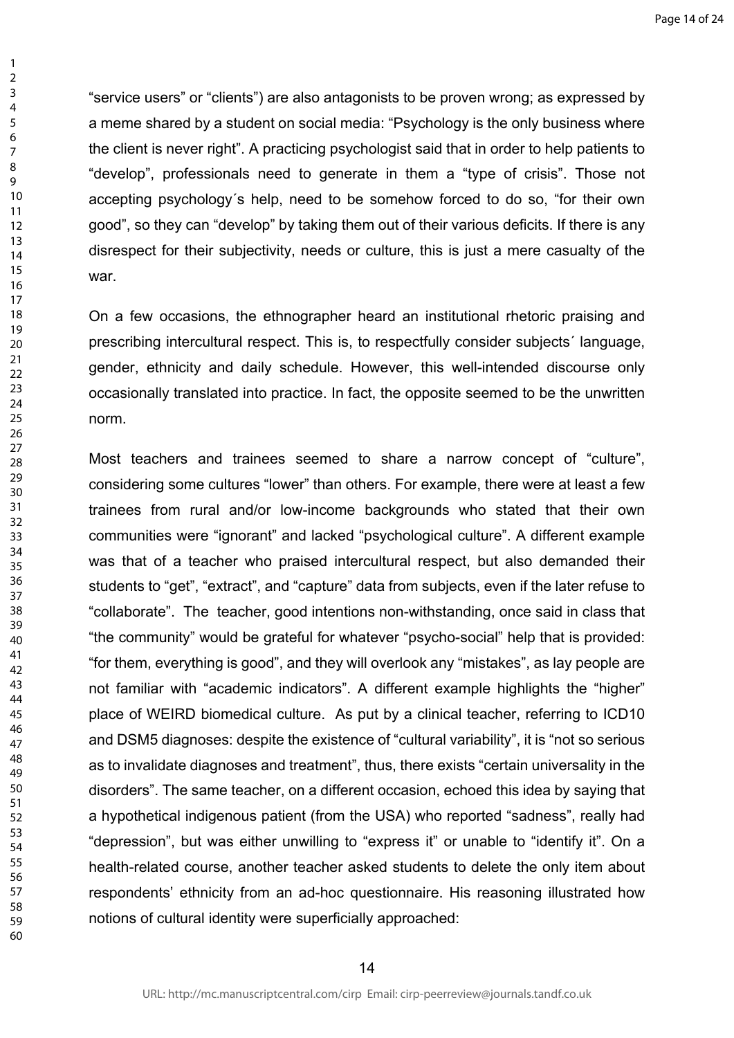"service users" or "clients") are also antagonists to be proven wrong; as expressed by a meme shared by a student on social media: "Psychology is the only business where the client is never right". A practicing psychologist said that in order to help patients to "develop", professionals need to generate in them a "type of crisis". Those not accepting psychology´s help, need to be somehow forced to do so, "for their own good", so they can "develop" by taking them out of their various deficits. If there is any disrespect for their subjectivity, needs or culture, this is just a mere casualty of the war.

On a few occasions, the ethnographer heard an institutional rhetoric praising and prescribing intercultural respect. This is, to respectfully consider subjects´ language, gender, ethnicity and daily schedule. However, this well-intended discourse only occasionally translated into practice. In fact, the opposite seemed to be the unwritten norm.

Most teachers and trainees seemed to share a narrow concept of "culture", considering some cultures "lower" than others. For example, there were at least a few trainees from rural and/or low-income backgrounds who stated that their own communities were "ignorant" and lacked "psychological culture". A different example was that of a teacher who praised intercultural respect, but also demanded their students to "get", "extract", and "capture" data from subjects, even if the later refuse to "collaborate". The teacher, good intentions non-withstanding, once said in class that "the community" would be grateful for whatever "psycho-social" help that is provided: "for them, everything is good", and they will overlook any "mistakes", as lay people are not familiar with "academic indicators". A different example highlights the "higher" place of WEIRD biomedical culture. As put by a clinical teacher, referring to ICD10 and DSM5 diagnoses: despite the existence of "cultural variability", it is "not so serious as to invalidate diagnoses and treatment", thus, there exists "certain universality in the disorders". The same teacher, on a different occasion, echoed this idea by saying that a hypothetical indigenous patient (from the USA) who reported "sadness", really had "depression", but was either unwilling to "express it" or unable to "identify it". On a health-related course, another teacher asked students to delete the only item about respondents' ethnicity from an ad-hoc questionnaire. His reasoning illustrated how notions of cultural identity were superficially approached: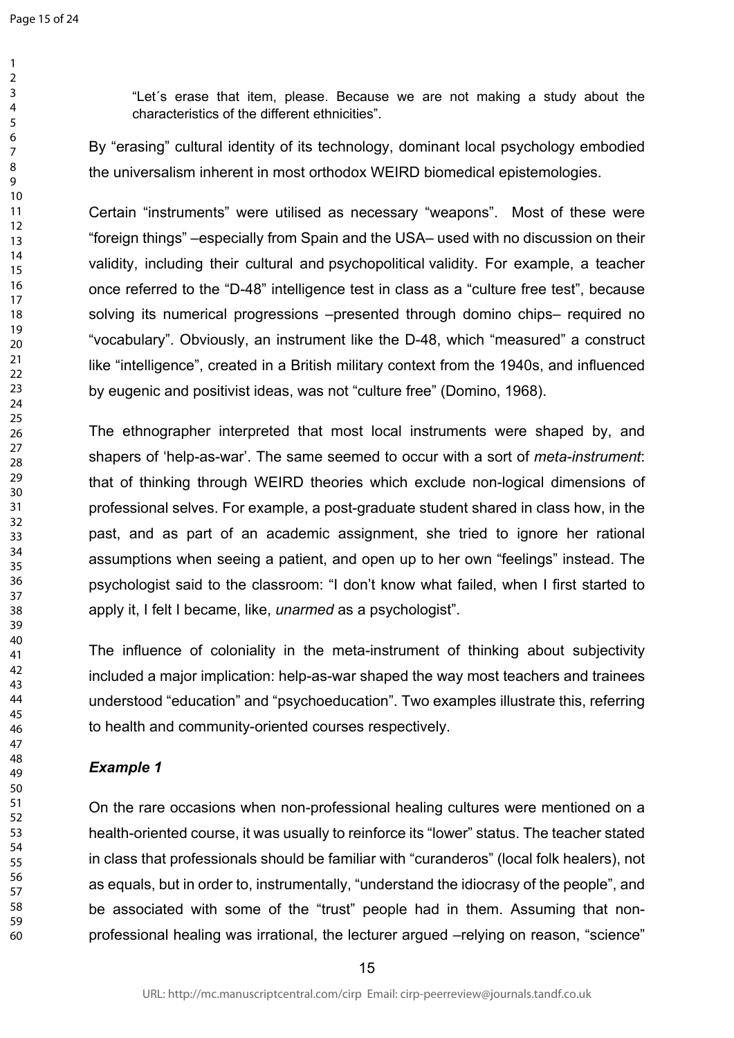"Let´s erase that item, please. Because we are not making a study about the characteristics of the different ethnicities".

By "erasing" cultural identity of its technology, dominant local psychology embodied the universalism inherent in most orthodox WEIRD biomedical epistemologies.

Certain "instruments" were utilised as necessary "weapons". Most of these were "foreign things" –especially from Spain and the USA– used with no discussion on their validity, including their cultural and psychopolitical validity. For example, a teacher once referred to the "D-48" intelligence test in class as a "culture free test", because solving its numerical progressions –presented through domino chips– required no "vocabulary". Obviously, an instrument like the D-48, which "measured" a construct like "intelligence", created in a British military context from the 1940s, and influenced by eugenic and positivist ideas, was not "culture free" (Domino, 1968).

The ethnographer interpreted that most local instruments were shaped by, and shapers of 'help-as-war'. The same seemed to occur with a sort of *meta-instrument*: that of thinking through WEIRD theories which exclude non-logical dimensions of professional selves. For example, a post-graduate student shared in class how, in the past, and as part of an academic assignment, she tried to ignore her rational assumptions when seeing a patient, and open up to her own "feelings" instead. The psychologist said to the classroom: "I don't know what failed, when I first started to apply it, I felt I became, like, *unarmed* as a psychologist".

The influence of coloniality in the meta-instrument of thinking about subjectivity included a major implication: help-as-war shaped the way most teachers and trainees understood "education" and "psychoeducation". Two examples illustrate this, referring to health and community-oriented courses respectively.

# *Example 1*

On the rare occasions when non-professional healing cultures were mentioned on a health-oriented course, it was usually to reinforce its "lower" status. The teacher stated in class that professionals should be familiar with "curanderos" (local folk healers), not as equals, but in order to, instrumentally, "understand the idiocrasy of the people", and be associated with some of the "trust" people had in them. Assuming that nonprofessional healing was irrational, the lecturer argued –relying on reason, "science"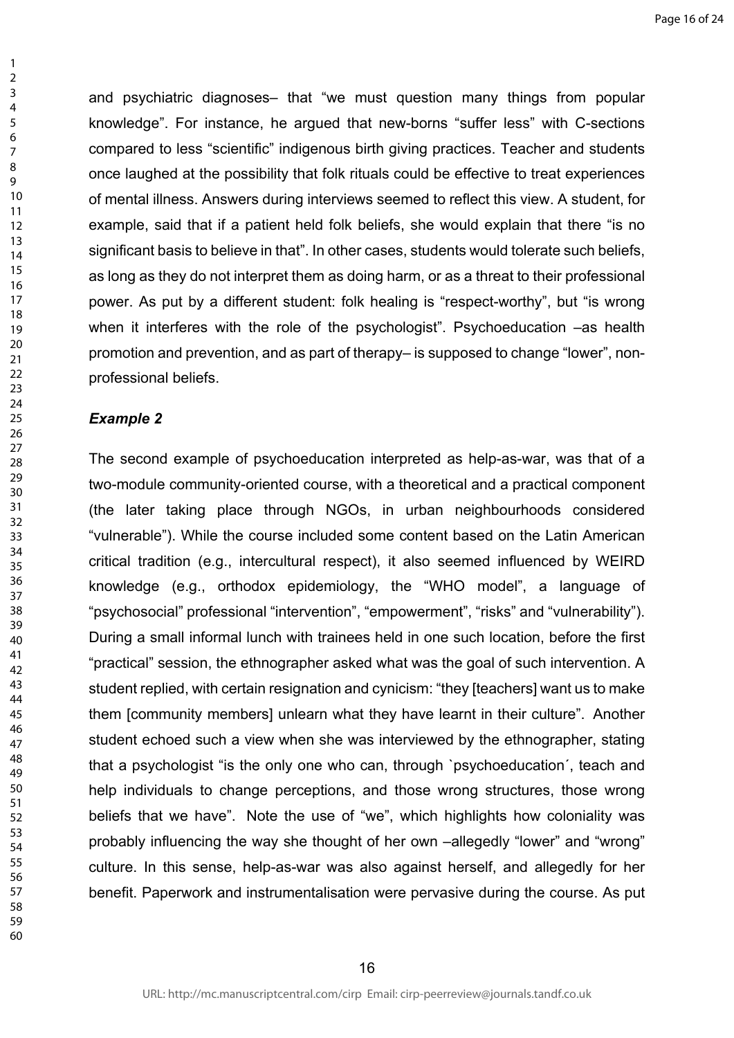and psychiatric diagnoses– that "we must question many things from popular knowledge". For instance, he argued that new-borns "suffer less" with C-sections compared to less "scientific" indigenous birth giving practices. Teacher and students once laughed at the possibility that folk rituals could be effective to treat experiences of mental illness. Answers during interviews seemed to reflect this view. A student, for example, said that if a patient held folk beliefs, she would explain that there "is no significant basis to believe in that". In other cases, students would tolerate such beliefs, as long as they do not interpret them as doing harm, or as a threat to their professional power. As put by a different student: folk healing is "respect-worthy", but "is wrong when it interferes with the role of the psychologist". Psychoeducation –as health promotion and prevention, and as part of therapy– is supposed to change "lower", nonprofessional beliefs.

#### *Example 2*

The second example of psychoeducation interpreted as help-as-war, was that of a two-module community-oriented course, with a theoretical and a practical component (the later taking place through NGOs, in urban neighbourhoods considered "vulnerable"). While the course included some content based on the Latin American critical tradition (e.g., intercultural respect), it also seemed influenced by WEIRD knowledge (e.g., orthodox epidemiology, the "WHO model", a language of "psychosocial" professional "intervention", "empowerment", "risks" and "vulnerability"). During a small informal lunch with trainees held in one such location, before the first "practical" session, the ethnographer asked what was the goal of such intervention. A student replied, with certain resignation and cynicism: "they [teachers] want us to make them [community members] unlearn what they have learnt in their culture". Another student echoed such a view when she was interviewed by the ethnographer, stating that a psychologist "is the only one who can, through `psychoeducation´, teach and help individuals to change perceptions, and those wrong structures, those wrong beliefs that we have". Note the use of "we", which highlights how coloniality was probably influencing the way she thought of her own –allegedly "lower" and "wrong" culture. In this sense, help-as-war was also against herself, and allegedly for her benefit. Paperwork and instrumentalisation were pervasive during the course. As put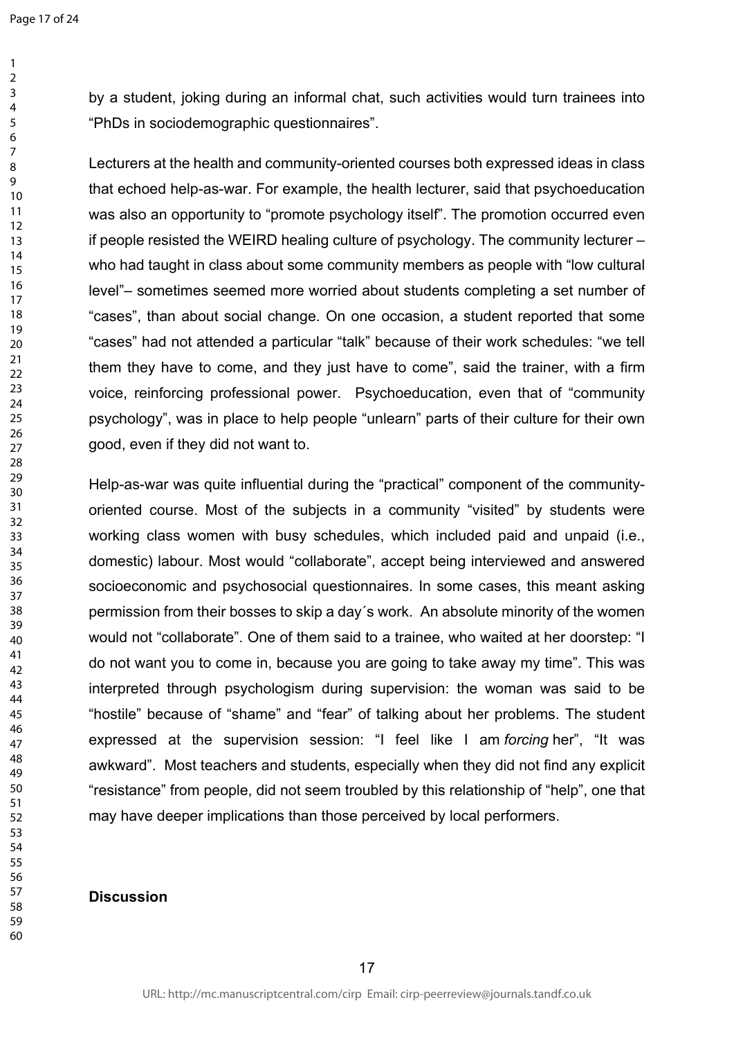by a student, joking during an informal chat, such activities would turn trainees into "PhDs in sociodemographic questionnaires".

Lecturers at the health and community-oriented courses both expressed ideas in class that echoed help-as-war. For example, the health lecturer, said that psychoeducation was also an opportunity to "promote psychology itself". The promotion occurred even if people resisted the WEIRD healing culture of psychology. The community lecturer – who had taught in class about some community members as people with "low cultural level"– sometimes seemed more worried about students completing a set number of "cases", than about social change. On one occasion, a student reported that some "cases" had not attended a particular "talk" because of their work schedules: "we tell them they have to come, and they just have to come", said the trainer, with a firm voice, reinforcing professional power. Psychoeducation, even that of "community psychology", was in place to help people "unlearn" parts of their culture for their own good, even if they did not want to.

Help-as-war was quite influential during the "practical" component of the communityoriented course. Most of the subjects in a community "visited" by students were working class women with busy schedules, which included paid and unpaid (i.e., domestic) labour. Most would "collaborate", accept being interviewed and answered socioeconomic and psychosocial questionnaires. In some cases, this meant asking permission from their bosses to skip a day´s work. An absolute minority of the women would not "collaborate". One of them said to a trainee, who waited at her doorstep: "I do not want you to come in, because you are going to take away my time". This was interpreted through psychologism during supervision: the woman was said to be "hostile" because of "shame" and "fear" of talking about her problems. The student expressed at the supervision session: "I feel like I am *forcing* her", "It was awkward". Most teachers and students, especially when they did not find any explicit "resistance" from people, did not seem troubled by this relationship of "help", one that may have deeper implications than those perceived by local performers.

### **Discussion**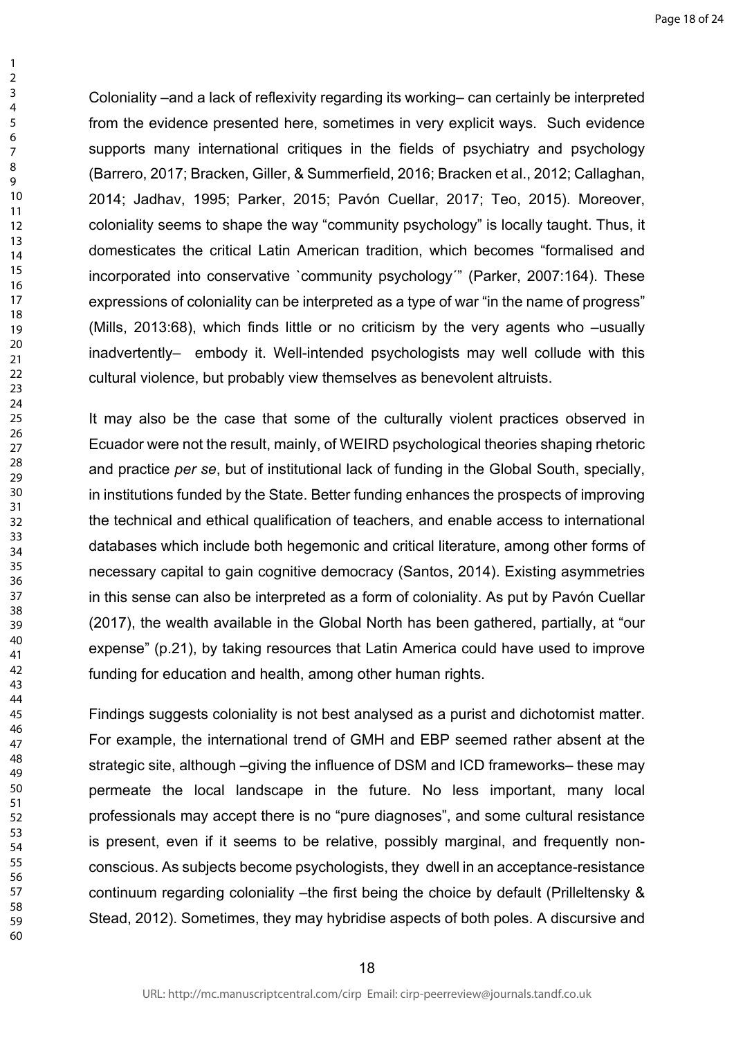Page 18 of 24

Coloniality –and a lack of reflexivity regarding its working– can certainly be interpreted from the evidence presented here, sometimes in very explicit ways. Such evidence supports many international critiques in the fields of psychiatry and psychology (Barrero, 2017; Bracken, Giller, & Summerfield, 2016; Bracken et al., 2012; Callaghan, 2014; Jadhav, 1995; Parker, 2015; Pavón Cuellar, 2017; Teo, 2015). Moreover, coloniality seems to shape the way "community psychology" is locally taught. Thus, it domesticates the critical Latin American tradition, which becomes "formalised and incorporated into conservative `community psychology'" (Parker, 2007:164). These expressions of coloniality can be interpreted as a type of war "in the name of progress" (Mills, 2013:68), which finds little or no criticism by the very agents who –usually inadvertently– embody it. Well-intended psychologists may well collude with this cultural violence, but probably view themselves as benevolent altruists.

It may also be the case that some of the culturally violent practices observed in Ecuador were not the result, mainly, of WEIRD psychological theories shaping rhetoric and practice *per se*, but of institutional lack of funding in the Global South, specially, in institutions funded by the State. Better funding enhances the prospects of improving the technical and ethical qualification of teachers, and enable access to international databases which include both hegemonic and critical literature, among other forms of necessary capital to gain cognitive democracy (Santos, 2014). Existing asymmetries in this sense can also be interpreted as a form of coloniality. As put by Pavón Cuellar (2017), the wealth available in the Global North has been gathered, partially, at "our expense" (p.21), by taking resources that Latin America could have used to improve funding for education and health, among other human rights.

Findings suggests coloniality is not best analysed as a purist and dichotomist matter. For example, the international trend of GMH and EBP seemed rather absent at the strategic site, although –giving the influence of DSM and ICD frameworks– these may permeate the local landscape in the future. No less important, many local professionals may accept there is no "pure diagnoses", and some cultural resistance is present, even if it seems to be relative, possibly marginal, and frequently nonconscious. As subjects become psychologists, they dwell in an acceptance-resistance continuum regarding coloniality –the first being the choice by default (Prilleltensky & Stead, 2012). Sometimes, they may hybridise aspects of both poles. A discursive and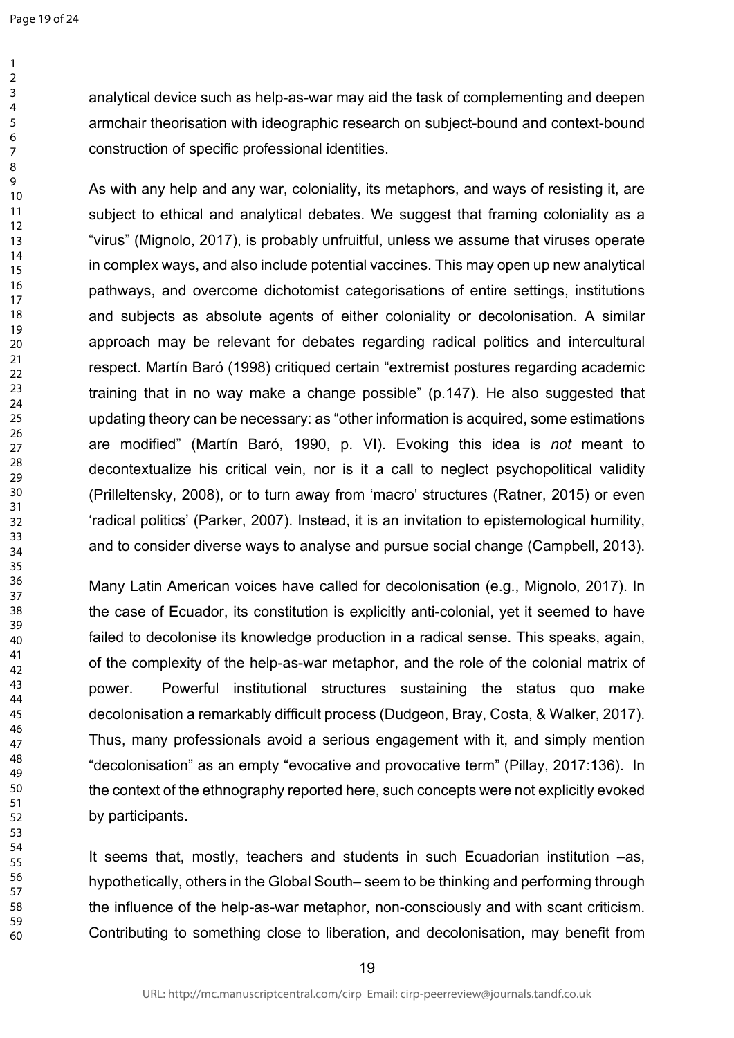analytical device such as help-as-war may aid the task of complementing and deepen armchair theorisation with ideographic research on subject-bound and context-bound construction of specific professional identities.

As with any help and any war, coloniality, its metaphors, and ways of resisting it, are subject to ethical and analytical debates. We suggest that framing coloniality as a "virus" (Mignolo, 2017), is probably unfruitful, unless we assume that viruses operate in complex ways, and also include potential vaccines. This may open up new analytical pathways, and overcome dichotomist categorisations of entire settings, institutions and subjects as absolute agents of either coloniality or decolonisation. A similar approach may be relevant for debates regarding radical politics and intercultural respect. Martín Baró (1998) critiqued certain "extremist postures regarding academic training that in no way make a change possible" (p.147). He also suggested that updating theory can be necessary: as "other information is acquired, some estimations are modified" (Martín Baró, 1990, p. VI). Evoking this idea is *not* meant to decontextualize his critical vein, nor is it a call to neglect psychopolitical validity (Prilleltensky, 2008), or to turn away from 'macro' structures (Ratner, 2015) or even 'radical politics' (Parker, 2007). Instead, it is an invitation to epistemological humility, and to consider diverse ways to analyse and pursue social change (Campbell, 2013).

Many Latin American voices have called for decolonisation (e.g., Mignolo, 2017). In the case of Ecuador, its constitution is explicitly anti-colonial, yet it seemed to have failed to decolonise its knowledge production in a radical sense. This speaks, again, of the complexity of the help-as-war metaphor, and the role of the colonial matrix of power. Powerful institutional structures sustaining the status quo make decolonisation a remarkably difficult process (Dudgeon, Bray, Costa, & Walker, 2017). Thus, many professionals avoid a serious engagement with it, and simply mention "decolonisation" as an empty "evocative and provocative term" (Pillay, 2017:136). In the context of the ethnography reported here, such concepts were not explicitly evoked by participants.

It seems that, mostly, teachers and students in such Ecuadorian institution –as, hypothetically, others in the Global South– seem to be thinking and performing through the influence of the help-as-war metaphor, non-consciously and with scant criticism. Contributing to something close to liberation, and decolonisation, may benefit from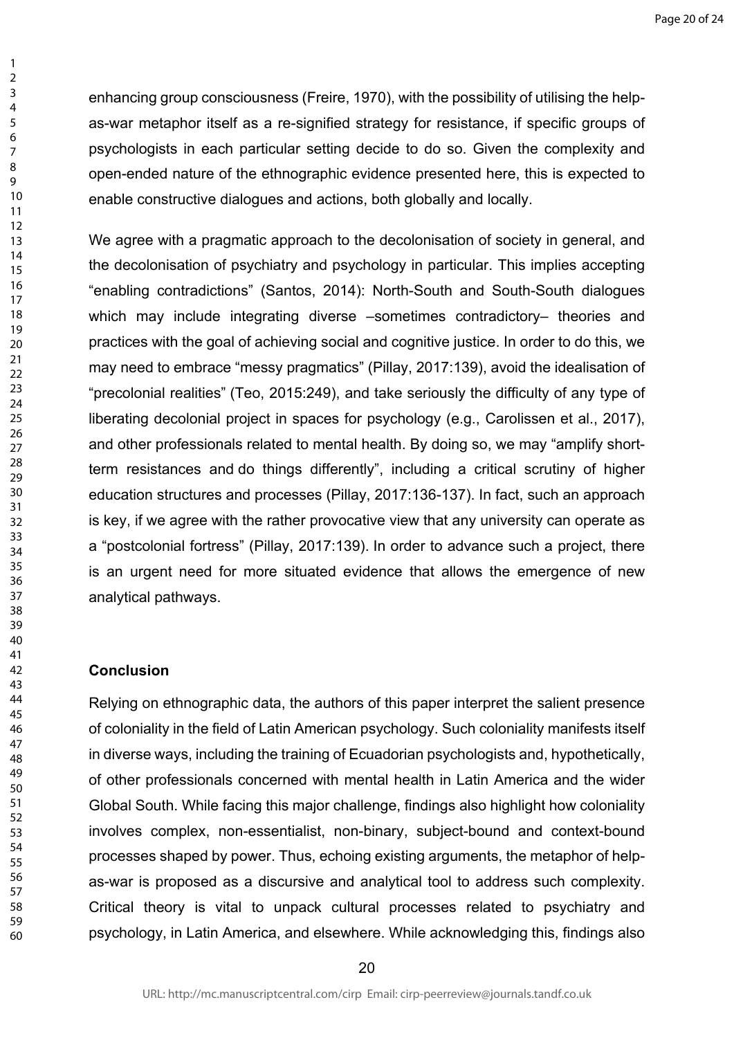enhancing group consciousness (Freire, 1970), with the possibility of utilising the helpas-war metaphor itself as a re-signified strategy for resistance, if specific groups of psychologists in each particular setting decide to do so. Given the complexity and open-ended nature of the ethnographic evidence presented here, this is expected to enable constructive dialogues and actions, both globally and locally.

We agree with a pragmatic approach to the decolonisation of society in general, and the decolonisation of psychiatry and psychology in particular. This implies accepting "enabling contradictions" (Santos, 2014): North-South and South-South dialogues which may include integrating diverse –sometimes contradictory– theories and practices with the goal of achieving social and cognitive justice. In order to do this, we may need to embrace "messy pragmatics" (Pillay, 2017:139), avoid the idealisation of "precolonial realities" (Teo, 2015:249), and take seriously the difficulty of any type of liberating decolonial project in spaces for psychology (e.g., Carolissen et al., 2017), and other professionals related to mental health. By doing so, we may "amplify shortterm resistances and do things differently", including a critical scrutiny of higher education structures and processes (Pillay, 2017:136-137). In fact, such an approach is key, if we agree with the rather provocative view that any university can operate as a "postcolonial fortress" (Pillay, 2017:139). In order to advance such a project, there is an urgent need for more situated evidence that allows the emergence of new analytical pathways.

### **Conclusion**

Relying on ethnographic data, the authors of this paper interpret the salient presence of coloniality in the field of Latin American psychology. Such coloniality manifests itself in diverse ways, including the training of Ecuadorian psychologists and, hypothetically, of other professionals concerned with mental health in Latin America and the wider Global South. While facing this major challenge, findings also highlight how coloniality involves complex, non-essentialist, non-binary, subject-bound and context-bound processes shaped by power. Thus, echoing existing arguments, the metaphor of helpas-war is proposed as a discursive and analytical tool to address such complexity. Critical theory is vital to unpack cultural processes related to psychiatry and psychology, in Latin America, and elsewhere. While acknowledging this, findings also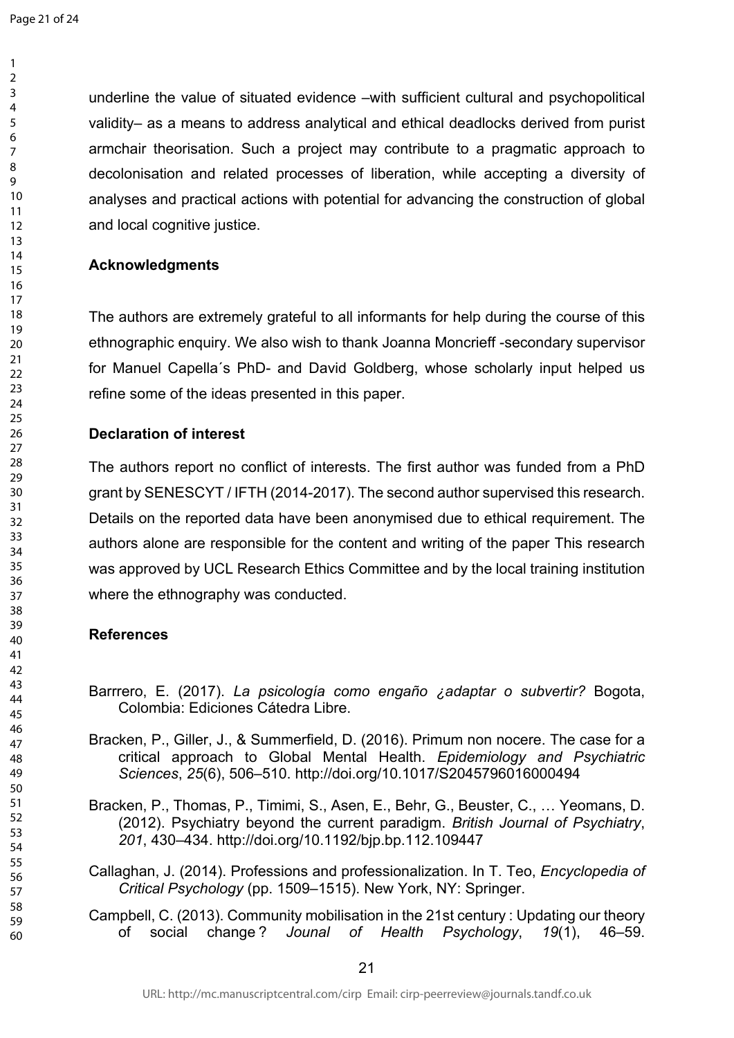underline the value of situated evidence –with sufficient cultural and psychopolitical validity– as a means to address analytical and ethical deadlocks derived from purist armchair theorisation. Such a project may contribute to a pragmatic approach to decolonisation and related processes of liberation, while accepting a diversity of analyses and practical actions with potential for advancing the construction of global and local cognitive justice.

### **Acknowledgments**

The authors are extremely grateful to all informants for help during the course of this ethnographic enquiry. We also wish to thank Joanna Moncrieff -secondary supervisor for Manuel Capella´s PhD- and David Goldberg, whose scholarly input helped us refine some of the ideas presented in this paper.

## **Declaration of interest**

The authors report no conflict of interests. The first author was funded from a PhD grant by SENESCYT / IFTH (2014-2017). The second author supervised this research. Details on the reported data have been anonymised due to ethical requirement. The authors alone are responsible for the content and writing of the paper This research was approved by UCL Research Ethics Committee and by the local training institution where the ethnography was conducted.

# **References**

- Barrrero, E. (2017). *La psicología como engaño ¿adaptar o subvertir?* Bogota, Colombia: Ediciones Cátedra Libre.
- Bracken, P., Giller, J., & Summerfield, D. (2016). Primum non nocere. The case for a critical approach to Global Mental Health. *Epidemiology and Psychiatric Sciences*, *25*(6), 506–510. http://doi.org/10.1017/S2045796016000494
- Bracken, P., Thomas, P., Timimi, S., Asen, E., Behr, G., Beuster, C., … Yeomans, D. (2012). Psychiatry beyond the current paradigm. *British Journal of Psychiatry*, , 430–434. http://doi.org/10.1192/bjp.bp.112.109447
- Callaghan, J. (2014). Professions and professionalization. In T. Teo, *Encyclopedia of Critical Psychology* (pp. 1509–1515). New York, NY: Springer.
- Campbell, C. (2013). Community mobilisation in the 21st century : Updating our theory of social change ? *Jounal of Health Psychology*, *19*(1), 46–59.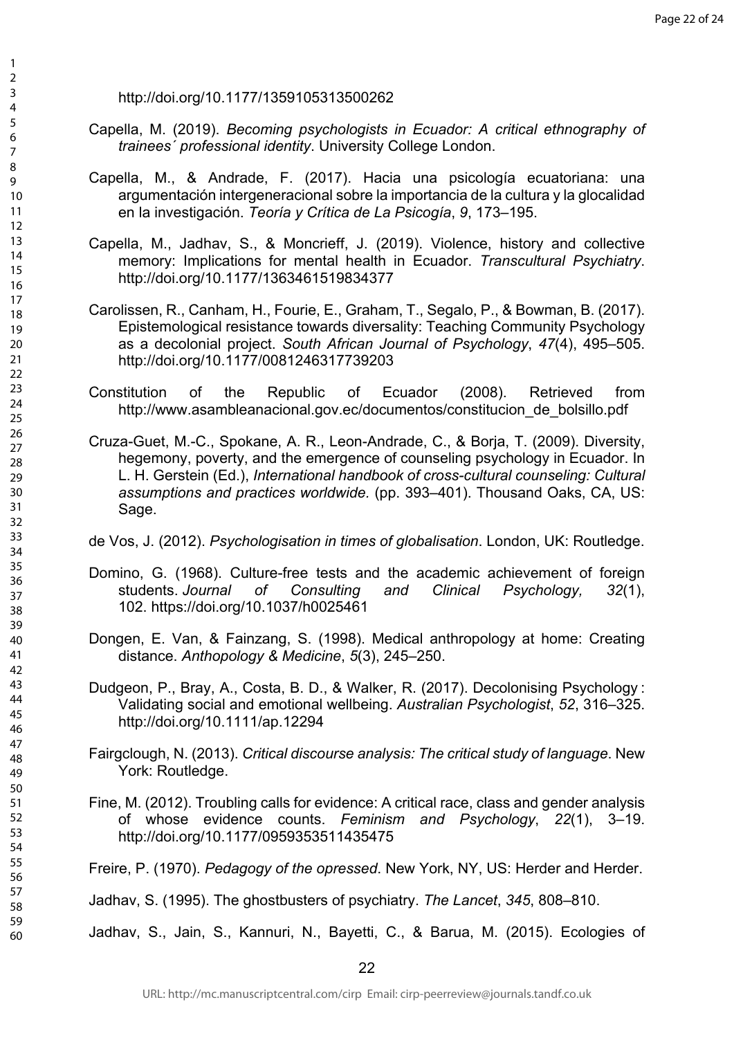http://doi.org/10.1177/1359105313500262

- Capella, M. (2019). *Becoming psychologists in Ecuador: A critical ethnography of trainees´ professional identity*. University College London.
- Capella, M., & Andrade, F. (2017). Hacia una psicología ecuatoriana: una argumentación intergeneracional sobre la importancia de la cultura y la glocalidad en la investigación. *Teoría y Crítica de La Psicogía*, *9*, 173–195.
- Capella, M., Jadhav, S., & Moncrieff, J. (2019). Violence, history and collective memory: Implications for mental health in Ecuador. *Transcultural Psychiatry*. http://doi.org/10.1177/1363461519834377
- Carolissen, R., Canham, H., Fourie, E., Graham, T., Segalo, P., & Bowman, B. (2017). Epistemological resistance towards diversality: Teaching Community Psychology as a decolonial project. *South African Journal of Psychology*, *47*(4), 495–505. http://doi.org/10.1177/0081246317739203
- Constitution of the Republic of Ecuador (2008). Retrieved from http://www.asambleanacional.gov.ec/documentos/constitucion\_de\_bolsillo.pdf
- Cruza-Guet, M.-C., Spokane, A. R., Leon-Andrade, C., & Borja, T. (2009). Diversity, hegemony, poverty, and the emergence of counseling psychology in Ecuador. In L. H. Gerstein (Ed.), *International handbook of cross-cultural counseling: Cultural assumptions and practices worldwide.* (pp. 393–401). Thousand Oaks, CA, US: Sage.
- de Vos, J. (2012). *Psychologisation in times of globalisation*. London, UK: Routledge.
- Domino, G. (1968). Culture-free tests and the academic achievement of foreign students. *Journal of Consulting and Clinical Psychology, 32*(1), 102. [https://doi.org/10.1037/h0025461](https://psycnet.apa.org/doi/10.1037/h0025461)
- Dongen, E. Van, & Fainzang, S. (1998). Medical anthropology at home: Creating distance. *Anthopology & Medicine*, *5*(3), 245–250.
- Dudgeon, P., Bray, A., Costa, B. D., & Walker, R. (2017). Decolonising Psychology : Validating social and emotional wellbeing. *Australian Psychologist*, *52*, 316–325. http://doi.org/10.1111/ap.12294
- Fairgclough, N. (2013). *Critical discourse analysis: The critical study of language*. New York: Routledge.
- Fine, M. (2012). Troubling calls for evidence: A critical race, class and gender analysis of whose evidence counts. *Feminism and Psychology*, *22*(1), 3–19. http://doi.org/10.1177/0959353511435475
- Freire, P. (1970). *Pedagogy of the opressed*. New York, NY, US: Herder and Herder.

Jadhav, S. (1995). The ghostbusters of psychiatry. *The Lancet*, *345*, 808–810.

Jadhav, S., Jain, S., Kannuri, N., Bayetti, C., & Barua, M. (2015). Ecologies of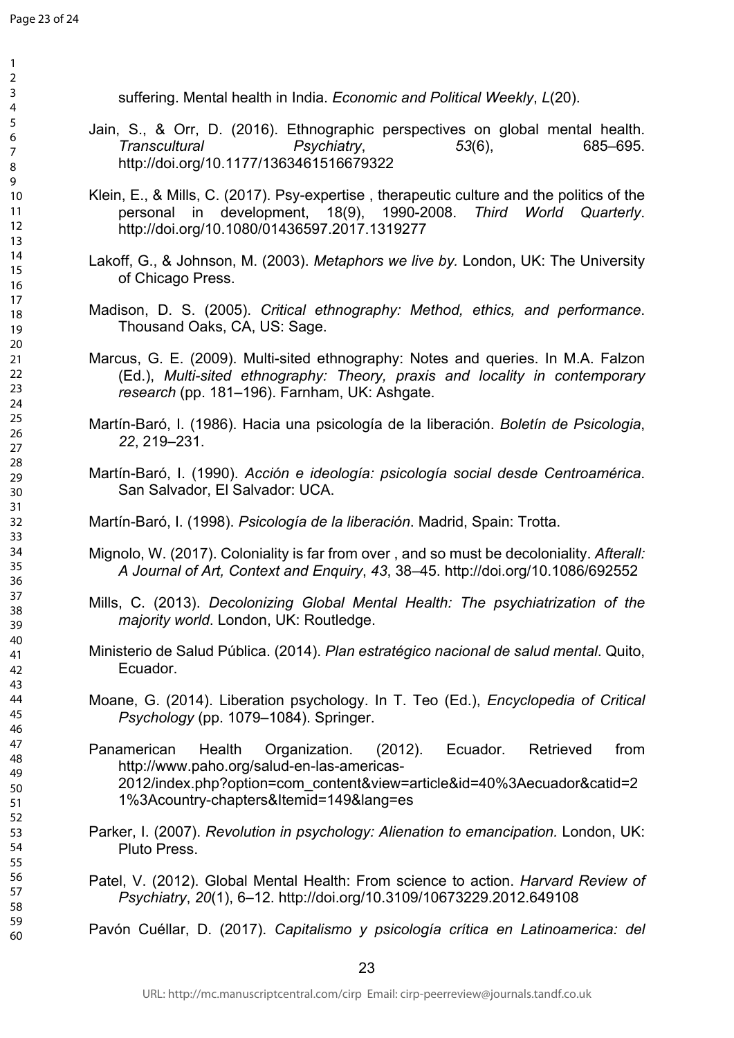| suffering. Mental health in India. Economic and Political Weekly, L(20).                                                                                                                                                                    |
|---------------------------------------------------------------------------------------------------------------------------------------------------------------------------------------------------------------------------------------------|
| Jain, S., & Orr, D. (2016). Ethnographic perspectives on global mental health.<br>Transcultural Psychiatry,<br>$53(6)$ ,<br>685-695.<br>http://doi.org/10.1177/1363461516679322                                                             |
| Klein, E., & Mills, C. (2017). Psy-expertise, therapeutic culture and the politics of the<br>personal in development, 18(9), 1990-2008. Third World<br>Quarterly.<br>http://doi.org/10.1080/01436597.2017.1319277                           |
| Lakoff, G., & Johnson, M. (2003). Metaphors we live by. London, UK: The University<br>of Chicago Press.                                                                                                                                     |
| Madison, D. S. (2005). Critical ethnography: Method, ethics, and performance.<br>Thousand Oaks, CA, US: Sage.                                                                                                                               |
| Marcus, G. E. (2009). Multi-sited ethnography: Notes and queries. In M.A. Falzon<br>(Ed.), Multi-sited ethnography: Theory, praxis and locality in contemporary<br>research (pp. 181–196). Farnham, UK: Ashgate.                            |
| Martín-Baró, I. (1986). Hacia una psicología de la liberación. Boletín de Psicologia,<br>22, 219-231.                                                                                                                                       |
| Martín-Baró, I. (1990). Acción e ideología: psicología social desde Centroamérica.<br>San Salvador, El Salvador: UCA.                                                                                                                       |
| Martín-Baró, I. (1998). Psicología de la liberación. Madrid, Spain: Trotta.                                                                                                                                                                 |
| Mignolo, W. (2017). Coloniality is far from over, and so must be decoloniality. Afterall:<br>A Journal of Art, Context and Enguiry, 43, 38-45. http://doi.org/10.1086/692552                                                                |
| Mills, C. (2013). Decolonizing Global Mental Health: The psychiatrization of the<br>majority world. London, UK: Routledge.                                                                                                                  |
| Ministerio de Salud Pública. (2014). Plan estratégico nacional de salud mental. Quito,<br>Ecuador.                                                                                                                                          |
| Moane, G. (2014). Liberation psychology. In T. Teo (Ed.), <i>Encyclopedia of Critical</i><br>Psychology (pp. 1079–1084). Springer.                                                                                                          |
| from<br>Panamerican Health<br>Organization. (2012).<br>Ecuador.<br>Retrieved<br>http://www.paho.org/salud-en-las-americas-<br>2012/index.php?option=com content&view=article&id=40%3Aecuador&catid=2<br>1%3Acountry-chapters&Itemid=149⟨=es |
| Parker, I. (2007). Revolution in psychology: Alienation to emancipation. London, UK:<br>Pluto Press.                                                                                                                                        |
| Patel, V. (2012). Global Mental Health: From science to action. Harvard Review of<br>Psychiatry, 20(1), 6-12. http://doi.org/10.3109/10673229.2012.649108                                                                                   |
| Pavón Cuéllar, D. (2017). Capitalismo y psicología crítica en Latinoamerica: del                                                                                                                                                            |